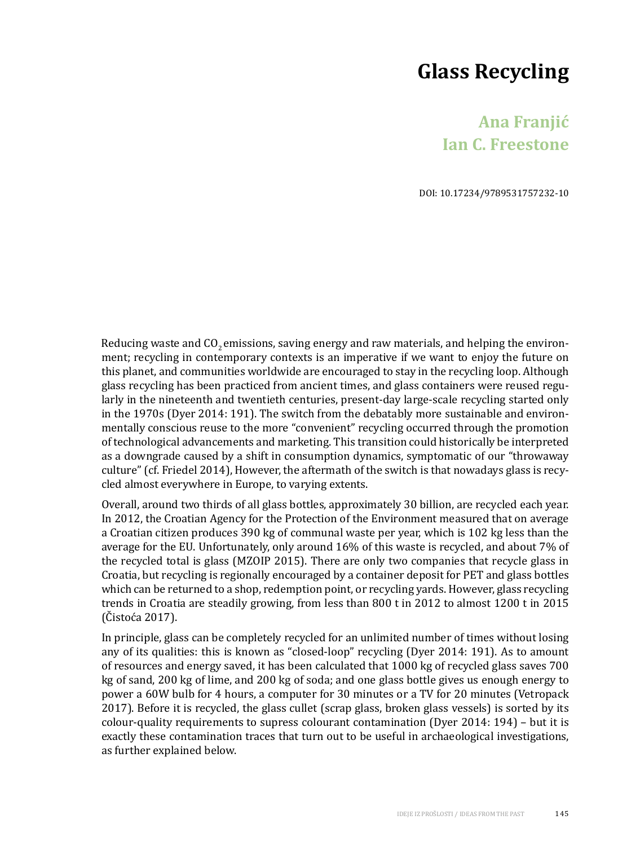# **Glass Recycling**

# **Ana Franjić Ian C. Freestone**

DOI: 10.17234/9789531757232-10

Reducing waste and  $CO<sub>2</sub>$  emissions, saving energy and raw materials, and helping the environment; recycling in contemporary contexts is an imperative if we want to enjoy the future on this planet, and communities worldwide are encouraged to stay in the recycling loop. Although glass recycling has been practiced from ancient times, and glass containers were reused regularly in the nineteenth and twentieth centuries, present-day large-scale recycling started only in the 1970s (Dyer 2014: 191). The switch from the debatably more sustainable and environmentally conscious reuse to the more "convenient" recycling occurred through the promotion of technological advancements and marketing. This transition could historically be interpreted as a downgrade caused by a shift in consumption dynamics, symptomatic of our "throwaway culture" (cf. Friedel 2014), However, the aftermath of the switch is that nowadays glass is recycled almost everywhere in Europe, to varying extents.

Overall, around two thirds of all glass bottles, approximately 30 billion, are recycled each year. In 2012, the Croatian Agency for the Protection of the Environment measured that on average a Croatian citizen produces 390 kg of communal waste per year, which is 102 kg less than the average for the EU. Unfortunately, only around 16% of this waste is recycled, and about 7% of the recycled total is glass (MZOIP 2015). There are only two companies that recycle glass in Croatia, but recycling is regionally encouraged by a container deposit for PET and glass bottles which can be returned to a shop, redemption point, or recycling yards. However, glass recycling trends in Croatia are steadily growing, from less than 800 t in 2012 to almost 1200 t in 2015 (Čistoća 2017).

In principle, glass can be completely recycled for an unlimited number of times without losing any of its qualities: this is known as "closed-loop" recycling (Dyer 2014: 191). As to amount of resources and energy saved, it has been calculated that 1000 kg of recycled glass saves 700 kg of sand, 200 kg of lime, and 200 kg of soda; and one glass bottle gives us enough energy to power a 60W bulb for 4 hours, a computer for 30 minutes or a TV for 20 minutes (Vetropack 2017). Before it is recycled, the glass cullet (scrap glass, broken glass vessels) is sorted by its colour-quality requirements to supress colourant contamination (Dyer 2014: 194) – but it is exactly these contamination traces that turn out to be useful in archaeological investigations, as further explained below.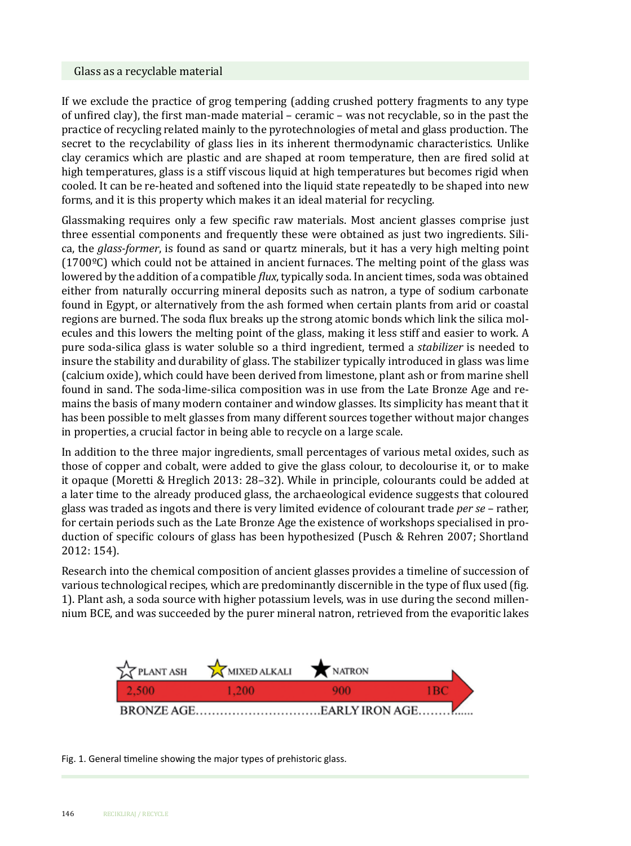#### Glass as a recyclable material

If we exclude the practice of grog tempering (adding crushed pottery fragments to any type of unfired clay), the first man-made material – ceramic – was not recyclable, so in the past the practice of recycling related mainly to the pyrotechnologies of metal and glass production. The secret to the recyclability of glass lies in its inherent thermodynamic characteristics. Unlike clay ceramics which are plastic and are shaped at room temperature, then are fired solid at high temperatures, glass is a stiff viscous liquid at high temperatures but becomes rigid when cooled. It can be re-heated and softened into the liquid state repeatedly to be shaped into new forms, and it is this property which makes it an ideal material for recycling.

Glassmaking requires only a few specific raw materials. Most ancient glasses comprise just three essential components and frequently these were obtained as just two ingredients. Silica, the *glass-former*, is found as sand or quartz minerals, but it has a very high melting point  $(1700\degree C)$  which could not be attained in ancient furnaces. The melting point of the glass was lowered by the addition of a compatible *flux*, typically soda. In ancient times, soda was obtained either from naturally occurring mineral deposits such as natron, a type of sodium carbonate found in Egypt, or alternatively from the ash formed when certain plants from arid or coastal regions are burned. The soda flux breaks up the strong atomic bonds which link the silica molecules and this lowers the melting point of the glass, making it less stiff and easier to work. A pure soda-silica glass is water soluble so a third ingredient, termed a *stabilizer* is needed to insure the stability and durability of glass. The stabilizer typically introduced in glass was lime (calcium oxide), which could have been derived from limestone, plant ash or from marine shell found in sand. The soda-lime-silica composition was in use from the Late Bronze Age and remains the basis of many modern container and window glasses. Its simplicity has meant that it has been possible to melt glasses from many different sources together without major changes in properties, a crucial factor in being able to recycle on a large scale.

In addition to the three major ingredients, small percentages of various metal oxides, such as those of copper and cobalt, were added to give the glass colour, to decolourise it, or to make it opaque (Moretti & Hreglich 2013: 28–32). While in principle, colourants could be added at a later time to the already produced glass, the archaeological evidence suggests that coloured glass was traded as ingots and there is very limited evidence of colourant trade *per se* – rather, for certain periods such as the Late Bronze Age the existence of workshops specialised in production of specific colours of glass has been hypothesized (Pusch & Rehren 2007; Shortland 2012: 154).

Research into the chemical composition of ancient glasses provides a timeline of succession of various technological recipes, which are predominantly discernible in the type of flux used (fig. 1). Plant ash, a soda source with higher potassium levels, was in use during the second millennium BCE, and was succeeded by the purer mineral natron, retrieved from the evaporitic lakes



Fig. 1. General timeline showing the major types of prehistoric glass.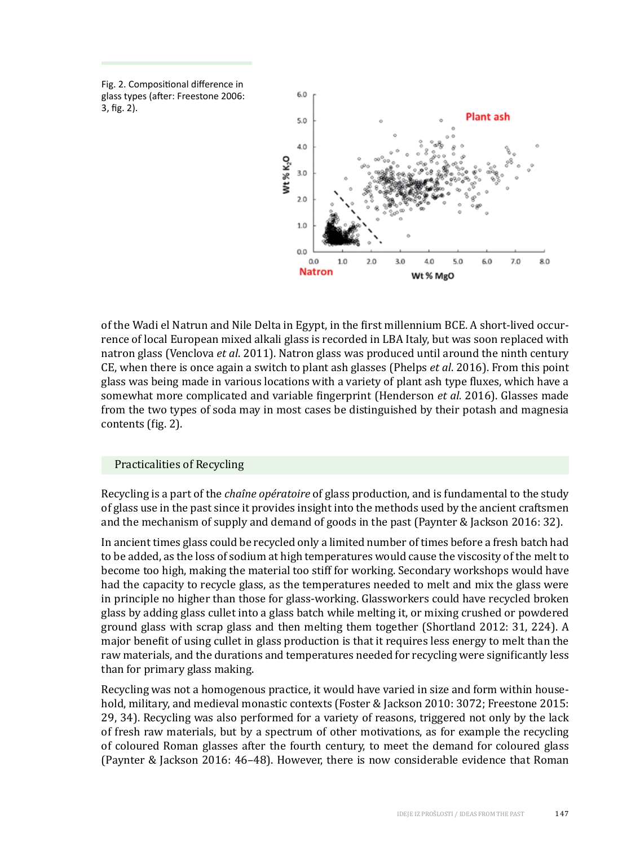Fig. 2. Compositional difference in glass types (after: Freestone 2006: 3, fig. 2).



of the Wadi el Natrun and Nile Delta in Egypt, in the first millennium BCE. A short-lived occurrence of local European mixed alkali glass is recorded in LBA Italy, but was soon replaced with natron glass (Venclova *et al*. 2011). Natron glass was produced until around the ninth century CE, when there is once again a switch to plant ash glasses (Phelps *et al*. 2016). From this point glass was being made in various locations with a variety of plant ash type fluxes, which have a somewhat more complicated and variable fingerprint (Henderson *et al.* 2016). Glasses made from the two types of soda may in most cases be distinguished by their potash and magnesia contents (fig. 2).

## Practicalities of Recycling

Recycling is a part of the *chaîne opératoire* of glass production, and is fundamental to the study of glass use in the past since it provides insight into the methods used by the ancient craftsmen and the mechanism of supply and demand of goods in the past (Paynter & Jackson 2016: 32).

In ancient times glass could be recycled only a limited number of times before a fresh batch had to be added, as the loss of sodium at high temperatures would cause the viscosity of the melt to become too high, making the material too stiff for working. Secondary workshops would have had the capacity to recycle glass, as the temperatures needed to melt and mix the glass were in principle no higher than those for glass-working. Glassworkers could have recycled broken glass by adding glass cullet into a glass batch while melting it, or mixing crushed or powdered ground glass with scrap glass and then melting them together (Shortland 2012: 31, 224). A major benefit of using cullet in glass production is that it requires less energy to melt than the raw materials, and the durations and temperatures needed for recycling were significantly less than for primary glass making.

Recycling was not a homogenous practice, it would have varied in size and form within household, military, and medieval monastic contexts (Foster & Jackson 2010: 3072; Freestone 2015: 29, 34). Recycling was also performed for a variety of reasons, triggered not only by the lack of fresh raw materials, but by a spectrum of other motivations, as for example the recycling of coloured Roman glasses after the fourth century, to meet the demand for coloured glass (Paynter & Jackson 2016: 46–48). However, there is now considerable evidence that Roman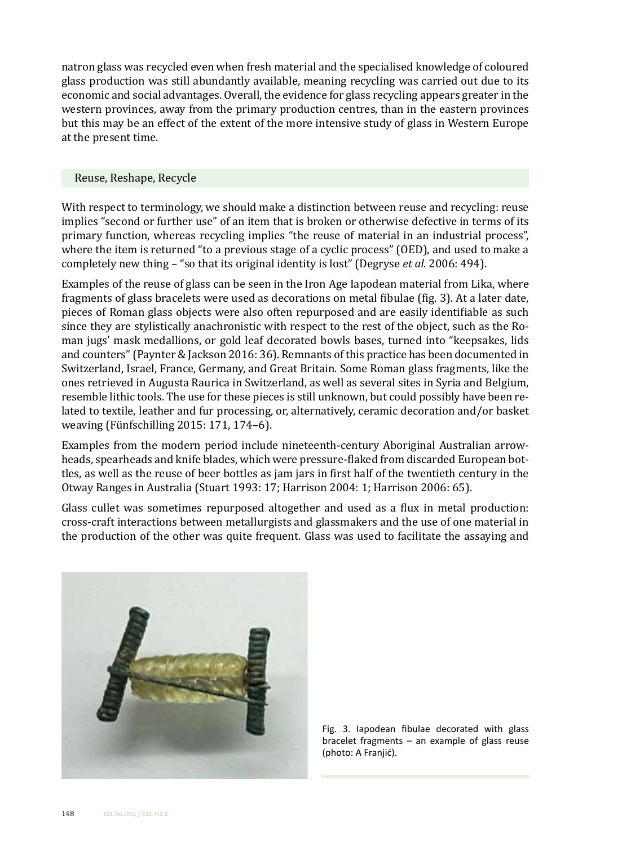natron glass was recycled even when fresh material and the specialised knowledge of coloured glass production was still abundantly available, meaning recycling was carried out due to its economic and social advantages. Overall, the evidence for glass recycling appears greater in the western provinces, away from the primary production centres, than in the eastern provinces but this may be an effect of the extent of the more intensive study of glass in Western Europe at the present time.

#### Reuse, Reshape, Recycle

With respect to terminology, we should make a distinction between reuse and recycling: reuse implies "second or further use" of an item that is broken or otherwise defective in terms of its primary function, whereas recycling implies "the reuse of material in an industrial process", where the item is returned "to a previous stage of a cyclic process" (OED), and used to make a completely new thing – "so that its original identity is lost" (Degryse *et al.* 2006: 494).

Examples of the reuse of glass can be seen in the Iron Age Iapodean material from Lika, where fragments of glass bracelets were used as decorations on metal fibulae (fig. 3). At a later date, pieces of Roman glass objects were also often repurposed and are easily identifiable as such since they are stylistically anachronistic with respect to the rest of the object, such as the Roman jugs' mask medallions, or gold leaf decorated bowls bases, turned into "keepsakes, lids and counters" (Paynter & Jackson 2016: 36). Remnants of this practice has been documented in Switzerland, Israel, France, Germany, and Great Britain. Some Roman glass fragments, like the ones retrieved in Augusta Raurica in Switzerland, as well as several sites in Syria and Belgium, resemble lithic tools. The use for these pieces is still unknown, but could possibly have been related to textile, leather and fur processing, or, alternatively, ceramic decoration and/or basket weaving (Fünfschilling 2015: 171, 174–6).

Examples from the modern period include nineteenth-century Aboriginal Australian arrowheads, spearheads and knife blades, which were pressure-flaked from discarded European bottles, as well as the reuse of beer bottles as jam jars in first half of the twentieth century in the Otway Ranges in Australia (Stuart 1993: 17; Harrison 2004: 1; Harrison 2006: 65).

Glass cullet was sometimes repurposed altogether and used as a flux in metal production: cross-craft interactions between metallurgists and glassmakers and the use of one material in the production of the other was quite frequent. Glass was used to facilitate the assaying and



Fig. 3. Iapodean fibulae decorated with glass bracelet fragments – an example of glass reuse (photo: A Franjić).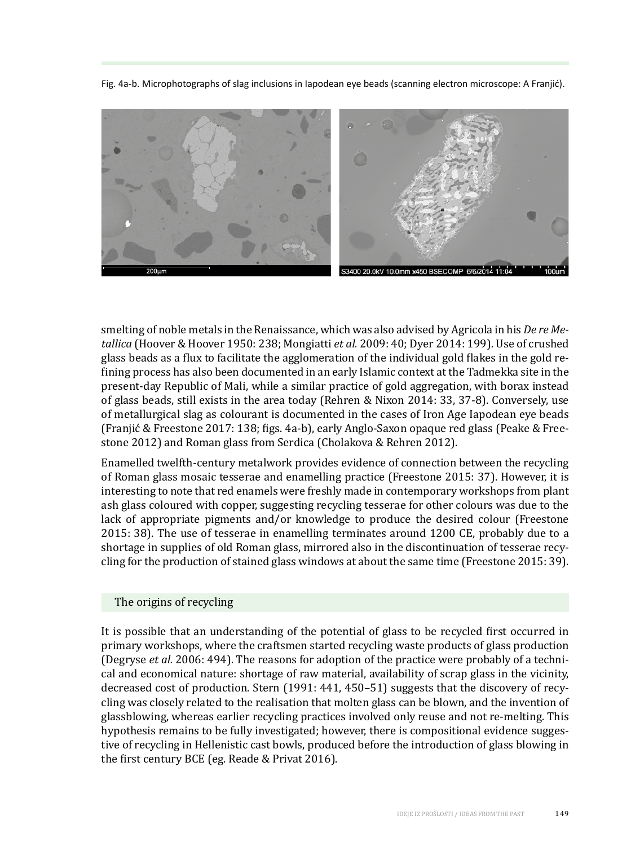Fig. 4a-b. Microphotographs of slag inclusions in Iapodean eye beads (scanning electron microscope: A Franjić).



smelting of noble metals in the Renaissance, which was also advised by Agricola in his *De re Metallica* (Hoover & Hoover 1950: 238; Mongiatti *et al.* 2009: 40; Dyer 2014: 199). Use of crushed glass beads as a flux to facilitate the agglomeration of the individual gold flakes in the gold refining process has also been documented in an early Islamic context at the Tadmekka site in the present-day Republic of Mali, while a similar practice of gold aggregation, with borax instead of glass beads, still exists in the area today (Rehren & Nixon 2014: 33, 37-8). Conversely, use of metallurgical slag as colourant is documented in the cases of Iron Age Iapodean eye beads (Franjić & Freestone 2017: 138; figs. 4a-b), early Anglo-Saxon opaque red glass (Peake & Freestone 2012) and Roman glass from Serdica (Cholakova & Rehren 2012).

Enamelled twelfth-century metalwork provides evidence of connection between the recycling of Roman glass mosaic tesserae and enamelling practice (Freestone 2015: 37). However, it is interesting to note that red enamels were freshly made in contemporary workshops from plant ash glass coloured with copper, suggesting recycling tesserae for other colours was due to the lack of appropriate pigments and/or knowledge to produce the desired colour (Freestone 2015: 38). The use of tesserae in enamelling terminates around 1200 CE, probably due to a shortage in supplies of old Roman glass, mirrored also in the discontinuation of tesserae recycling for the production of stained glass windows at about the same time (Freestone 2015: 39).

#### The origins of recycling

It is possible that an understanding of the potential of glass to be recycled first occurred in primary workshops, where the craftsmen started recycling waste products of glass production (Degryse *et al.* 2006: 494). The reasons for adoption of the practice were probably of a technical and economical nature: shortage of raw material, availability of scrap glass in the vicinity, decreased cost of production. Stern (1991: 441, 450–51) suggests that the discovery of recycling was closely related to the realisation that molten glass can be blown, and the invention of glassblowing, whereas earlier recycling practices involved only reuse and not re-melting. This hypothesis remains to be fully investigated; however, there is compositional evidence suggestive of recycling in Hellenistic cast bowls, produced before the introduction of glass blowing in the first century BCE (eg. Reade & Privat 2016).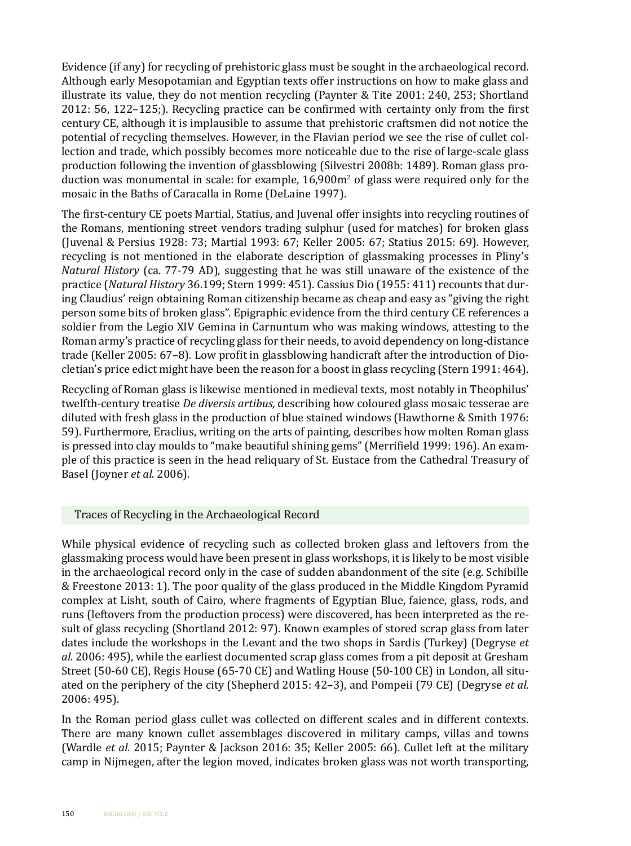Evidence (if any) for recycling of prehistoric glass must be sought in the archaeological record. Although early Mesopotamian and Egyptian texts offer instructions on how to make glass and illustrate its value, they do not mention recycling (Paynter & Tite 2001: 240, 253; Shortland 2012: 56, 122–125;). Recycling practice can be confirmed with certainty only from the first century CE, although it is implausible to assume that prehistoric craftsmen did not notice the potential of recycling themselves. However, in the Flavian period we see the rise of cullet collection and trade, which possibly becomes more noticeable due to the rise of large-scale glass production following the invention of glassblowing (Silvestri 2008b: 1489). Roman glass production was monumental in scale: for example, 16,900m<sup>2</sup> of glass were required only for the mosaic in the Baths of Caracalla in Rome (DeLaine 1997).

The first-century CE poets Martial, Statius, and Juvenal offer insights into recycling routines of the Romans, mentioning street vendors trading sulphur (used for matches) for broken glass (Juvenal & Persius 1928: 73; Martial 1993: 67; Keller 2005: 67; Statius 2015: 69). However, recycling is not mentioned in the elaborate description of glassmaking processes in Pliny's *Natural History* (ca. 77-79 AD), suggesting that he was still unaware of the existence of the practice (*Natural History* 36.199; Stern 1999: 451). Cassius Dio (1955: 411) recounts that during Claudius' reign obtaining Roman citizenship became as cheap and easy as "giving the right person some bits of broken glass". Epigraphic evidence from the third century CE references a soldier from the Legio XIV Gemina in Carnuntum who was making windows, attesting to the Roman army's practice of recycling glass for their needs, to avoid dependency on long-distance trade (Keller 2005: 67–8). Low profit in glassblowing handicraft after the introduction of Diocletian's price edict might have been the reason for a boost in glass recycling (Stern 1991: 464).

Recycling of Roman glass is likewise mentioned in medieval texts, most notably in Theophilus' twelfth-century treatise *De diversis artibus,* describing how coloured glass mosaic tesserae are diluted with fresh glass in the production of blue stained windows (Hawthorne & Smith 1976: 59). Furthermore, Eraclius, writing on the arts of painting, describes how molten Roman glass is pressed into clay moulds to "make beautiful shining gems" (Merrifield 1999: 196). An example of this practice is seen in the head reliquary of St. Eustace from the Cathedral Treasury of Basel (Joyner *et al*. 2006).

## Traces of Recycling in the Archaeological Record

While physical evidence of recycling such as collected broken glass and leftovers from the glassmaking process would have been present in glass workshops, it is likely to be most visible in the archaeological record only in the case of sudden abandonment of the site (e.g. Schibille & Freestone 2013: 1). The poor quality of the glass produced in the Middle Kingdom Pyramid complex at Lisht, south of Cairo, where fragments of Egyptian Blue, faience, glass, rods, and runs (leftovers from the production process) were discovered, has been interpreted as the result of glass recycling (Shortland 2012: 97). Known examples of stored scrap glass from later dates include the workshops in the Levant and the two shops in Sardis (Turkey) (Degryse *et al.* 2006: 495), while the earliest documented scrap glass comes from a pit deposit at Gresham Street (50-60 CE), Regis House (65-70 CE) and Watling House (50-100 CE) in London, all situated on the periphery of the city (Shepherd 2015: 42–3), and Pompeii (79 CE) (Degryse *et al*. 2006: 495).

In the Roman period glass cullet was collected on different scales and in different contexts. There are many known cullet assemblages discovered in military camps, villas and towns (Wardle *et al.* 2015; Paynter & Jackson 2016: 35; Keller 2005: 66). Cullet left at the military camp in Nijmegen, after the legion moved, indicates broken glass was not worth transporting,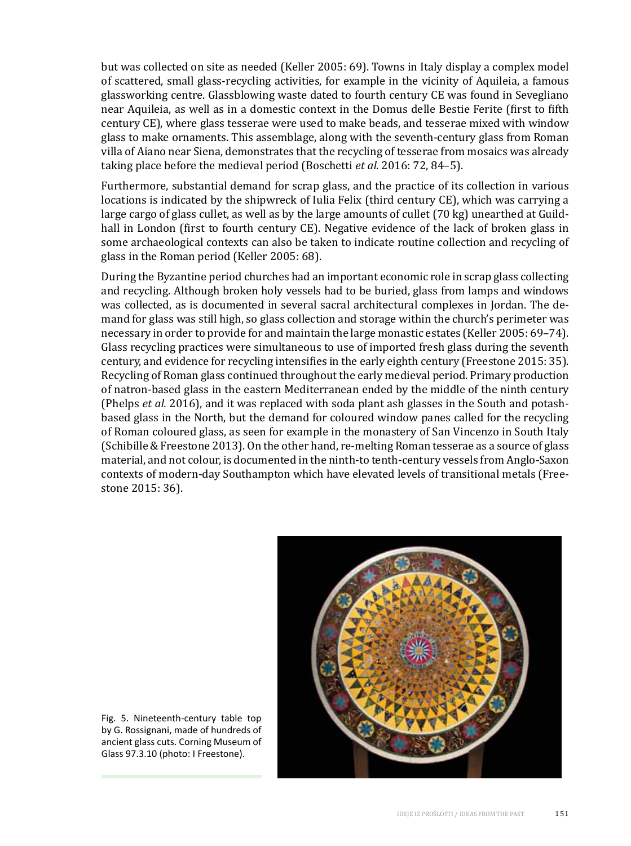but was collected on site as needed (Keller 2005: 69). Towns in Italy display a complex model of scattered, small glass-recycling activities, for example in the vicinity of Aquileia, a famous glassworking centre. Glassblowing waste dated to fourth century CE was found in Sevegliano near Aquileia, as well as in a domestic context in the Domus delle Bestie Ferite (first to fifth century CE), where glass tesserae were used to make beads, and tesserae mixed with window glass to make ornaments. This assemblage, along with the seventh-century glass from Roman villa of Aiano near Siena, demonstrates that the recycling of tesserae from mosaics was already taking place before the medieval period (Boschetti *et al.* 2016: 72, 84–5).

Furthermore, substantial demand for scrap glass, and the practice of its collection in various locations is indicated by the shipwreck of Iulia Felix (third century CE), which was carrying a large cargo of glass cullet, as well as by the large amounts of cullet (70 kg) unearthed at Guildhall in London (first to fourth century CE). Negative evidence of the lack of broken glass in some archaeological contexts can also be taken to indicate routine collection and recycling of glass in the Roman period (Keller 2005: 68).

During the Byzantine period churches had an important economic role in scrap glass collecting and recycling. Although broken holy vessels had to be buried, glass from lamps and windows was collected, as is documented in several sacral architectural complexes in Jordan. The demand for glass was still high, so glass collection and storage within the church's perimeter was necessary in order to provide for and maintain the large monastic estates (Keller 2005: 69–74). Glass recycling practices were simultaneous to use of imported fresh glass during the seventh century, and evidence for recycling intensifies in the early eighth century (Freestone 2015: 35). Recycling of Roman glass continued throughout the early medieval period. Primary production of natron-based glass in the eastern Mediterranean ended by the middle of the ninth century (Phelps *et al.* 2016), and it was replaced with soda plant ash glasses in the South and potashbased glass in the North, but the demand for coloured window panes called for the recycling of Roman coloured glass, as seen for example in the monastery of San Vincenzo in South Italy (Schibille & Freestone 2013). On the other hand, re-melting Roman tesserae as a source of glass material, and not colour, is documented in the ninth-to tenth-century vessels from Anglo-Saxon contexts of modern-day Southampton which have elevated levels of transitional metals (Freestone 2015: 36).



Fig. 5. Nineteenth-century table top by G. Rossignani, made of hundreds of ancient glass cuts. Corning Museum of Glass 97.3.10 (photo: I Freestone).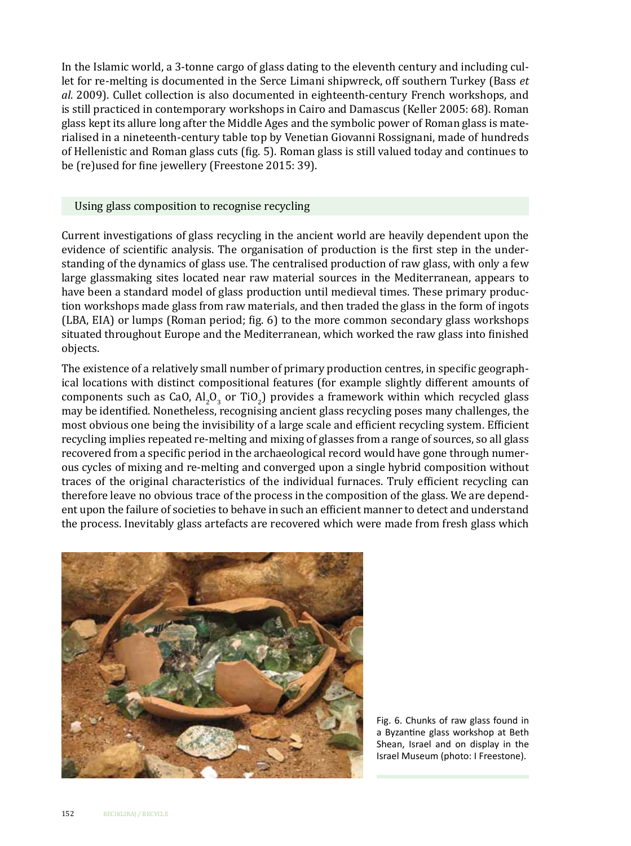In the Islamic world, a 3-tonne cargo of glass dating to the eleventh century and including cullet for re-melting is documented in the Serce Limani shipwreck, off southern Turkey (Bass *et al*. 2009). Cullet collection is also documented in eighteenth-century French workshops, and is still practiced in contemporary workshops in Cairo and Damascus (Keller 2005: 68). Roman glass kept its allure long after the Middle Ages and the symbolic power of Roman glass is materialised in a nineteenth-century table top by Venetian Giovanni Rossignani, made of hundreds of Hellenistic and Roman glass cuts (fig. 5). Roman glass is still valued today and continues to be (re)used for fine jewellery (Freestone 2015: 39).

#### Using glass composition to recognise recycling

Current investigations of glass recycling in the ancient world are heavily dependent upon the evidence of scientific analysis. The organisation of production is the first step in the understanding of the dynamics of glass use. The centralised production of raw glass, with only a few large glassmaking sites located near raw material sources in the Mediterranean, appears to have been a standard model of glass production until medieval times. These primary production workshops made glass from raw materials, and then traded the glass in the form of ingots (LBA, EIA) or lumps (Roman period; fig. 6) to the more common secondary glass workshops situated throughout Europe and the Mediterranean, which worked the raw glass into finished objects.

The existence of a relatively small number of primary production centres, in specific geographical locations with distinct compositional features (for example slightly different amounts of components such as CaO,  $\text{Al}_2\text{O}_3$  or TiO<sub>2</sub>) provides a framework within which recycled glass may be identified. Nonetheless, recognising ancient glass recycling poses many challenges, the most obvious one being the invisibility of a large scale and efficient recycling system. Efficient recycling implies repeated re-melting and mixing of glasses from a range of sources, so all glass recovered from a specific period in the archaeological record would have gone through numerous cycles of mixing and re-melting and converged upon a single hybrid composition without traces of the original characteristics of the individual furnaces. Truly efficient recycling can therefore leave no obvious trace of the process in the composition of the glass. We are dependent upon the failure of societies to behave in such an efficient manner to detect and understand the process. Inevitably glass artefacts are recovered which were made from fresh glass which



Fig. 6. Chunks of raw glass found in a Byzantine glass workshop at Beth Shean, Israel and on display in the Israel Museum (photo: I Freestone).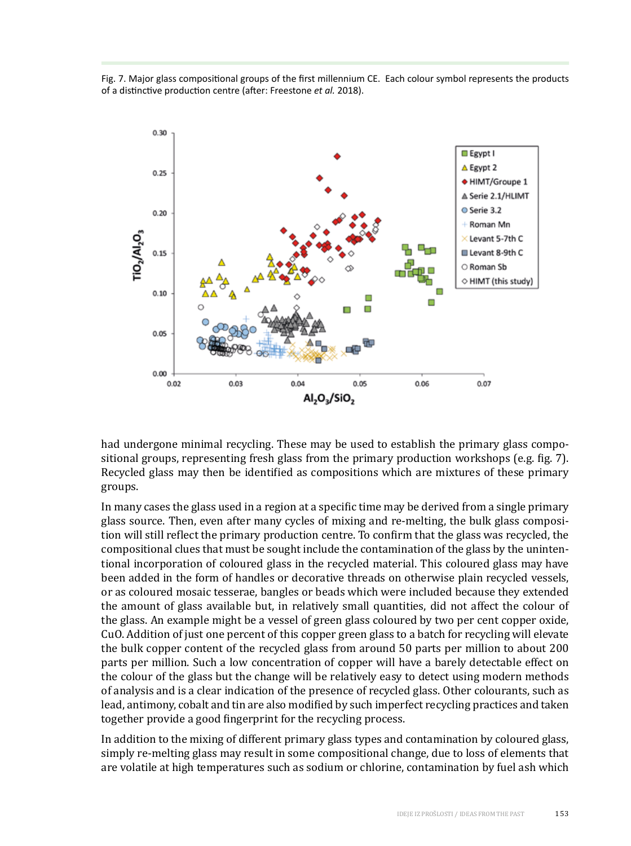Fig. 7. Major glass compositional groups of the first millennium CE. Each colour symbol represents the products of a distinctive production centre (after: Freestone *et al.* 2018).



had undergone minimal recycling. These may be used to establish the primary glass compositional groups, representing fresh glass from the primary production workshops (e.g. fig. 7). Recycled glass may then be identified as compositions which are mixtures of these primary groups.

In many cases the glass used in a region at a specific time may be derived from a single primary glass source. Then, even after many cycles of mixing and re-melting, the bulk glass composition will still reflect the primary production centre. To confirm that the glass was recycled, the compositional clues that must be sought include the contamination of the glass by the unintentional incorporation of coloured glass in the recycled material. This coloured glass may have been added in the form of handles or decorative threads on otherwise plain recycled vessels, or as coloured mosaic tesserae, bangles or beads which were included because they extended the amount of glass available but, in relatively small quantities, did not affect the colour of the glass. An example might be a vessel of green glass coloured by two per cent copper oxide, CuO. Addition of just one percent of this copper green glass to a batch for recycling will elevate the bulk copper content of the recycled glass from around 50 parts per million to about 200 parts per million. Such a low concentration of copper will have a barely detectable effect on the colour of the glass but the change will be relatively easy to detect using modern methods of analysis and is a clear indication of the presence of recycled glass. Other colourants, such as lead, antimony, cobalt and tin are also modified by such imperfect recycling practices and taken together provide a good fingerprint for the recycling process.

In addition to the mixing of different primary glass types and contamination by coloured glass, simply re-melting glass may result in some compositional change, due to loss of elements that are volatile at high temperatures such as sodium or chlorine, contamination by fuel ash which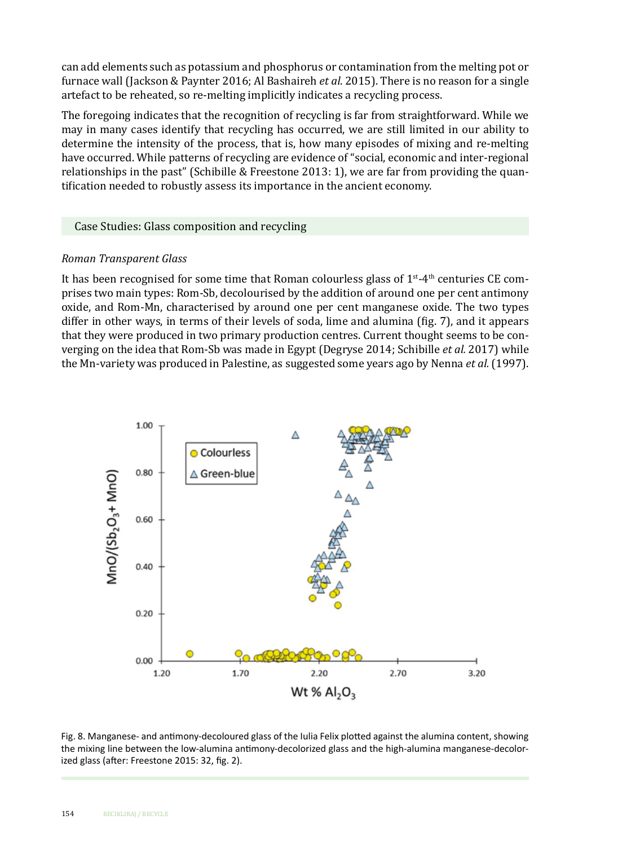can add elements such as potassium and phosphorus or contamination from the melting pot or furnace wall (Jackson & Paynter 2016; Al Bashaireh *et al*. 2015). There is no reason for a single artefact to be reheated, so re-melting implicitly indicates a recycling process.

The foregoing indicates that the recognition of recycling is far from straightforward. While we may in many cases identify that recycling has occurred, we are still limited in our ability to determine the intensity of the process, that is, how many episodes of mixing and re-melting have occurred. While patterns of recycling are evidence of "social, economic and inter-regional relationships in the past" (Schibille & Freestone 2013: 1), we are far from providing the quantification needed to robustly assess its importance in the ancient economy.

#### Case Studies: Glass composition and recycling

## *Roman Transparent Glass*

It has been recognised for some time that Roman colourless glass of  $1<sup>st-4<sup>th</sup></sup>$  centuries CE comprises two main types: Rom-Sb, decolourised by the addition of around one per cent antimony oxide, and Rom-Mn, characterised by around one per cent manganese oxide. The two types differ in other ways, in terms of their levels of soda, lime and alumina (fig. 7), and it appears that they were produced in two primary production centres. Current thought seems to be converging on the idea that Rom-Sb was made in Egypt (Degryse 2014; Schibille *et al.* 2017) while the Mn-variety was produced in Palestine, as suggested some years ago by Nenna *et al.* (1997).



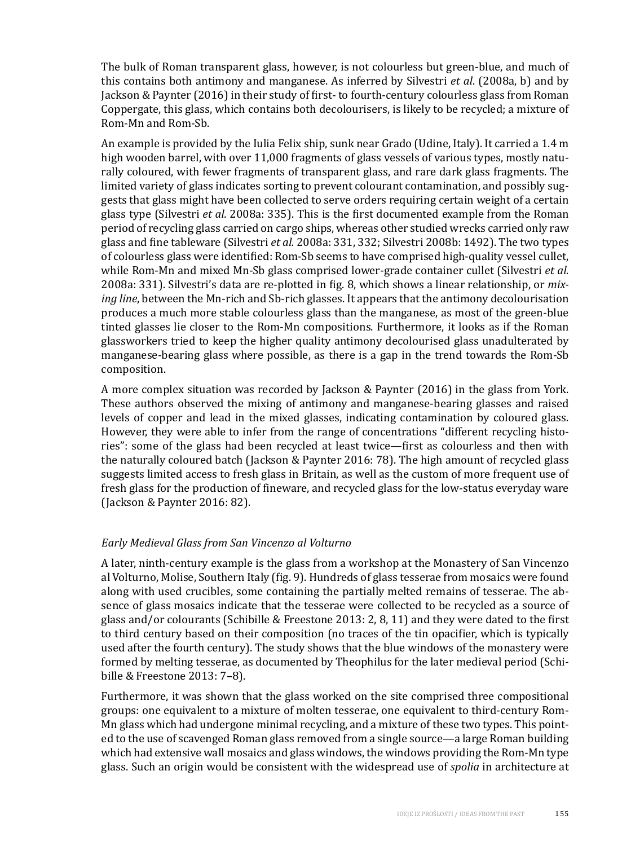The bulk of Roman transparent glass, however, is not colourless but green-blue, and much of this contains both antimony and manganese. As inferred by Silvestri *et al*. (2008a, b) and by Jackson & Paynter (2016) in their study of first- to fourth-century colourless glass from Roman Coppergate, this glass, which contains both decolourisers, is likely to be recycled; a mixture of Rom-Mn and Rom-Sb.

An example is provided by the Iulia Felix ship, sunk near Grado (Udine, Italy). It carried a 1.4 m high wooden barrel, with over 11,000 fragments of glass vessels of various types, mostly naturally coloured, with fewer fragments of transparent glass, and rare dark glass fragments. The limited variety of glass indicates sorting to prevent colourant contamination, and possibly suggests that glass might have been collected to serve orders requiring certain weight of a certain glass type (Silvestri *et al.* 2008a: 335). This is the first documented example from the Roman period of recycling glass carried on cargo ships, whereas other studied wrecks carried only raw glass and fine tableware (Silvestri *et al.* 2008a: 331, 332; Silvestri 2008b: 1492). The two types of colourless glass were identified: Rom-Sb seems to have comprised high-quality vessel cullet, while Rom-Mn and mixed Mn-Sb glass comprised lower-grade container cullet (Silvestri *et al.* 2008a: 331). Silvestri's data are re-plotted in fig. 8, which shows a linear relationship, or *mixing line*, between the Mn-rich and Sb-rich glasses. It appears that the antimony decolourisation produces a much more stable colourless glass than the manganese, as most of the green-blue tinted glasses lie closer to the Rom-Mn compositions. Furthermore, it looks as if the Roman glassworkers tried to keep the higher quality antimony decolourised glass unadulterated by manganese-bearing glass where possible, as there is a gap in the trend towards the Rom-Sb composition.

A more complex situation was recorded by Jackson & Paynter (2016) in the glass from York. These authors observed the mixing of antimony and manganese-bearing glasses and raised levels of copper and lead in the mixed glasses, indicating contamination by coloured glass. However, they were able to infer from the range of concentrations "different recycling histories": some of the glass had been recycled at least twice—first as colourless and then with the naturally coloured batch (Jackson & Paynter 2016: 78). The high amount of recycled glass suggests limited access to fresh glass in Britain, as well as the custom of more frequent use of fresh glass for the production of fineware, and recycled glass for the low-status everyday ware (Jackson & Paynter 2016: 82).

## *Early Medieval Glass from San Vincenzo al Volturno*

A later, ninth-century example is the glass from a workshop at the Monastery of San Vincenzo al Volturno, Molise, Southern Italy (fig. 9). Hundreds of glass tesserae from mosaics were found along with used crucibles, some containing the partially melted remains of tesserae. The absence of glass mosaics indicate that the tesserae were collected to be recycled as a source of glass and/or colourants (Schibille & Freestone 2013: 2, 8, 11) and they were dated to the first to third century based on their composition (no traces of the tin opacifier, which is typically used after the fourth century). The study shows that the blue windows of the monastery were formed by melting tesserae, as documented by Theophilus for the later medieval period (Schibille & Freestone 2013: 7–8).

Furthermore, it was shown that the glass worked on the site comprised three compositional groups: one equivalent to a mixture of molten tesserae, one equivalent to third-century Rom-Mn glass which had undergone minimal recycling, and a mixture of these two types. This pointed to the use of scavenged Roman glass removed from a single source—a large Roman building which had extensive wall mosaics and glass windows, the windows providing the Rom-Mn type glass. Such an origin would be consistent with the widespread use of *spolia* in architecture at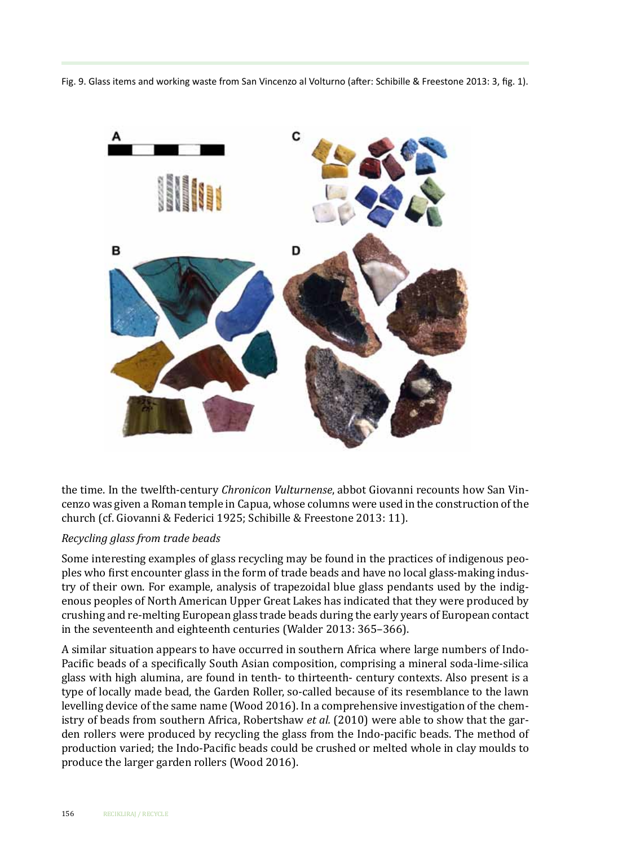Fig. 9. Glass items and working waste from San Vincenzo al Volturno (after: Schibille & Freestone 2013: 3, fig. 1).



the time. In the twelfth-century *Chronicon Vulturnense*, abbot Giovanni recounts how San Vincenzo was given a Roman temple in Capua, whose columns were used in the construction of the church (cf. Giovanni & Federici 1925; Schibille & Freestone 2013: 11).

#### *Recycling glass from trade beads*

Some interesting examples of glass recycling may be found in the practices of indigenous peoples who first encounter glass in the form of trade beads and have no local glass-making industry of their own. For example, analysis of trapezoidal blue glass pendants used by the indigenous peoples of North American Upper Great Lakes has indicated that they were produced by crushing and re-melting European glass trade beads during the early years of European contact in the seventeenth and eighteenth centuries (Walder 2013: 365–366).

A similar situation appears to have occurred in southern Africa where large numbers of Indo-Pacific beads of a specifically South Asian composition, comprising a mineral soda-lime-silica glass with high alumina, are found in tenth- to thirteenth- century contexts. Also present is a type of locally made bead, the Garden Roller, so-called because of its resemblance to the lawn levelling device of the same name (Wood 2016). In a comprehensive investigation of the chemistry of beads from southern Africa, Robertshaw *et al.* (2010) were able to show that the garden rollers were produced by recycling the glass from the Indo-pacific beads. The method of production varied; the Indo-Pacific beads could be crushed or melted whole in clay moulds to produce the larger garden rollers (Wood 2016).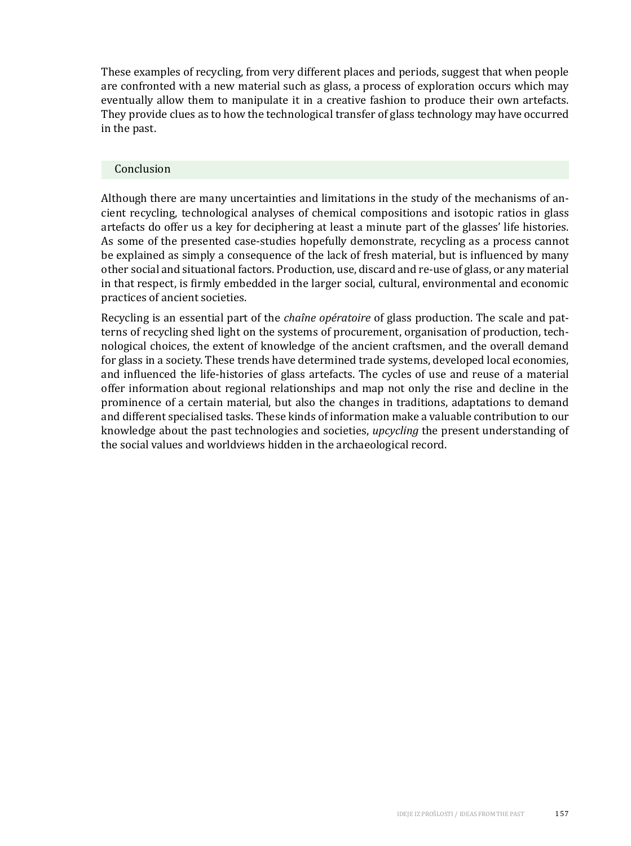These examples of recycling, from very different places and periods, suggest that when people are confronted with a new material such as glass, a process of exploration occurs which may eventually allow them to manipulate it in a creative fashion to produce their own artefacts. They provide clues as to how the technological transfer of glass technology may have occurred in the past.

#### Conclusion

Although there are many uncertainties and limitations in the study of the mechanisms of ancient recycling, technological analyses of chemical compositions and isotopic ratios in glass artefacts do offer us a key for deciphering at least a minute part of the glasses' life histories. As some of the presented case-studies hopefully demonstrate, recycling as a process cannot be explained as simply a consequence of the lack of fresh material, but is influenced by many other social and situational factors. Production, use, discard and re-use of glass, or any material in that respect, is firmly embedded in the larger social, cultural, environmental and economic practices of ancient societies.

Recycling is an essential part of the *chaîne opératoire* of glass production. The scale and patterns of recycling shed light on the systems of procurement, organisation of production, technological choices, the extent of knowledge of the ancient craftsmen, and the overall demand for glass in a society. These trends have determined trade systems, developed local economies, and influenced the life-histories of glass artefacts. The cycles of use and reuse of a material offer information about regional relationships and map not only the rise and decline in the prominence of a certain material, but also the changes in traditions, adaptations to demand and different specialised tasks. These kinds of information make a valuable contribution to our knowledge about the past technologies and societies, *upcycling* the present understanding of the social values and worldviews hidden in the archaeological record.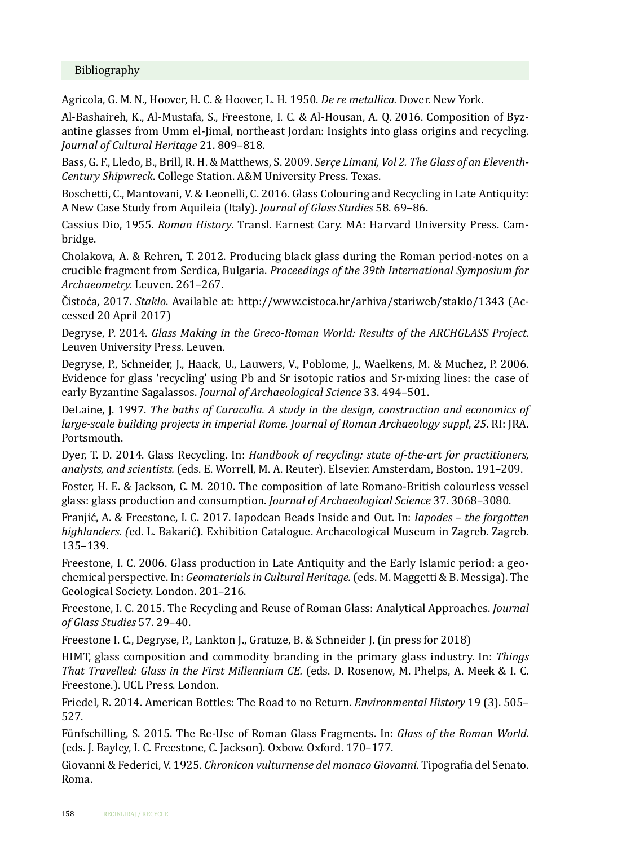## Bibliography

Agricola, G. M. N., Hoover, H. C. & Hoover, L. H. 1950. *De re metallica.* Dover. New York.

Al-Bashaireh, K., Al-Mustafa, S., Freestone, I. C. & Al-Housan, A. Q. 2016. Composition of Byzantine glasses from Umm el-Jimal, northeast Jordan: Insights into glass origins and recycling. *Journal of Cultural Heritage* 21. 809–818.

Bass, G. F., Lledo, B., Brill, R. H. & Matthews, S. 2009. *Serçe Limani, Vol 2. The Glass of an Eleventh-Century Shipwreck*. College Station. A&M University Press. Texas.

Boschetti, C., Mantovani, V. & Leonelli, C. 2016. Glass Colouring and Recycling in Late Antiquity: A New Case Study from Aquileia (Italy). *Journal of Glass Studies* 58. 69–86.

Cassius Dio, 1955. *Roman History*. Transl. Earnest Cary. MA: Harvard University Press. Cambridge.

Cholakova, A. & Rehren, T. 2012. Producing black glass during the Roman period-notes on a crucible fragment from Serdica, Bulgaria. *Proceedings of the 39th International Symposium for Archaeometry.* Leuven. 261–267.

Čistoća, 2017. *Staklo*. Available at: http://www.cistoca.hr/arhiva/stariweb/staklo/1343 (Accessed 20 April 2017)

Degryse, P. 2014. *Glass Making in the Greco-Roman World: Results of the ARCHGLASS Project*. Leuven University Press. Leuven.

Degryse, P., Schneider, J., Haack, U., Lauwers, V., Poblome, J., Waelkens, M. & Muchez, P. 2006. Evidence for glass 'recycling' using Pb and Sr isotopic ratios and Sr-mixing lines: the case of early Byzantine Sagalassos. *Journal of Archaeological Science* 33. 494–501.

DeLaine, J. 1997. *The baths of Caracalla. A study in the design, construction and economics of large-scale building projects in imperial Rome. Journal of Roman Archaeology suppl*, *25*. RI: JRA. Portsmouth.

Dyer, T. D. 2014. Glass Recycling. In: *Handbook of recycling: state of-the-art for practitioners, analysts, and scientists.* (eds. E. Worrell, M. A. Reuter). Elsevier. Amsterdam, Boston. 191–209.

Foster, H. E. & Jackson, C. M. 2010. The composition of late Romano-British colourless vessel glass: glass production and consumption. *Journal of Archaeological Science* 37. 3068–3080.

Franjić, A. & Freestone, I. C. 2017. Iapodean Beads Inside and Out. In: *Iapodes – the forgotten highlanders. (*ed. L. Bakarić). Exhibition Catalogue. Archaeological Museum in Zagreb. Zagreb. 135–139.

Freestone, I. C. 2006. Glass production in Late Antiquity and the Early Islamic period: a geochemical perspective. In: *Geomaterials in Cultural Heritage.* (eds. M. Maggetti & B. Messiga). The Geological Society. London. 201–216.

Freestone, I. C. 2015. The Recycling and Reuse of Roman Glass: Analytical Approaches. *Journal of Glass Studies* 57. 29–40.

Freestone I. C., Degryse, P., Lankton J., Gratuze, B. & Schneider J. (in press for 2018)

HIMT, glass composition and commodity branding in the primary glass industry. In: *Things That Travelled: Glass in the First Millennium CE.* (eds. D. Rosenow, M. Phelps, A. Meek & I. C. Freestone.). UCL Press. London.

Friedel, R. 2014. American Bottles: The Road to no Return. *Environmental History* 19 (3). 505– 527.

Fünfschilling, S. 2015. The Re-Use of Roman Glass Fragments. In: *Glass of the Roman World.* (eds. J. Bayley, I. C. Freestone, C. Jackson). Oxbow. Oxford. 170–177.

Giovanni & Federici, V. 1925. *Chronicon vulturnense del monaco Giovanni*. Tipografia del Senato. Roma.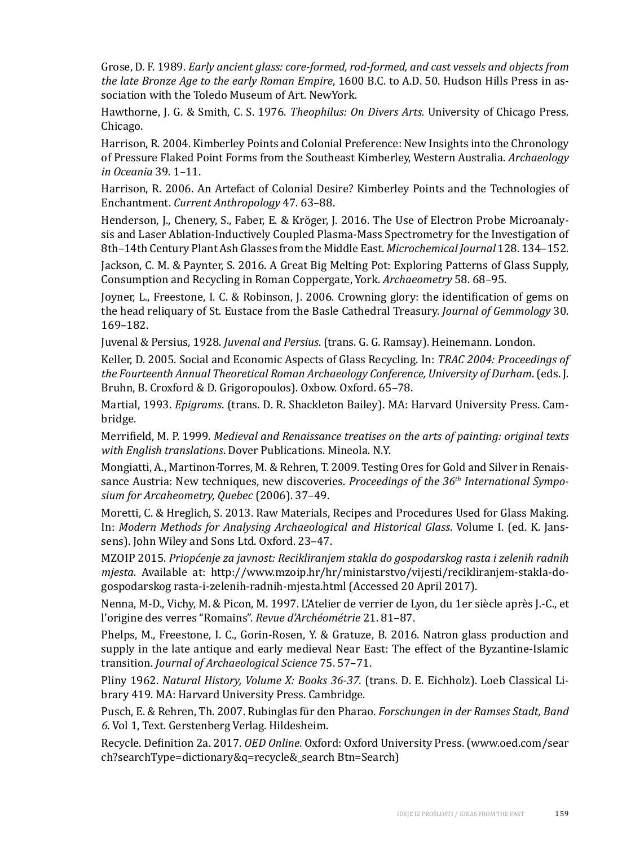Grose, D. F. 1989. *Early ancient glass: core-formed, rod-formed, and cast vessels and objects from the late Bronze Age to the early Roman Empire*, 1600 B.C. to A.D. 50. Hudson Hills Press in association with the Toledo Museum of Art. NewYork.

Hawthorne, J. G. & Smith, C. S. 1976. *Theophilus: On Divers Arts.* University of Chicago Press. Chicago.

Harrison, R. 2004. Kimberley Points and Colonial Preference: New Insights into the Chronology of Pressure Flaked Point Forms from the Southeast Kimberley, Western Australia. *Archaeology in Oceania* 39. 1–11.

Harrison, R. 2006. An Artefact of Colonial Desire? Kimberley Points and the Technologies of Enchantment. *Current Anthropology* 47. 63–88.

Henderson, J., Chenery, S., Faber, E. & Kröger, J. 2016. The Use of Electron Probe Microanalysis and Laser Ablation-Inductively Coupled Plasma-Mass Spectrometry for the Investigation of 8th–14th Century Plant Ash Glasses from the Middle East. *Microchemical Journal* 128. 134–152.

Jackson, C. M. & Paynter, S. 2016. A Great Big Melting Pot: Exploring Patterns of Glass Supply, Consumption and Recycling in Roman Coppergate, York. *Archaeometry* 58. 68–95.

Joyner, L., Freestone, I. C. & Robinson, J. 2006. Crowning glory: the identification of gems on the head reliquary of St. Eustace from the Basle Cathedral Treasury. *Journal of Gemmology* 30. 169–182.

Juvenal & Persius, 1928. *Juvenal and Persius*. (trans. G. G. Ramsay). Heinemann. London.

Keller, D. 2005. Social and Economic Aspects of Glass Recycling. In: *TRAC 2004: Proceedings of the Fourteenth Annual Theoretical Roman Archaeology Conference, University of Durham*. (eds. J. Bruhn, B. Croxford & D. Grigoropoulos). Oxbow. Oxford. 65–78.

Martial, 1993. *Epigrams*. (trans. D. R. Shackleton Bailey). MA: Harvard University Press. Cambridge.

Merrifield, M. P. 1999. *Medieval and Renaissance treatises on the arts of painting: original texts with English translations*. Dover Publications. Mineola. N.Y.

Mongiatti, A., Martinon-Torres, M. & Rehren, T. 2009. Testing Ores for Gold and Silver in Renaissance Austria: New techniques, new discoveries. *Proceedings of the 36th International Symposium for Arcaheometry, Quebec* (2006). 37–49.

Moretti, C. & Hreglich, S. 2013. Raw Materials, Recipes and Procedures Used for Glass Making. In: *Modern Methods for Analysing Archaeological and Historical Glass*. Volume I. (ed. K. Janssens). John Wiley and Sons Ltd. Oxford. 23–47.

MZOIP 2015. *Priopćenje za javnost: Recikliranjem stakla do gospodarskog rasta i zelenih radnih mjesta*. Available at: http://www.mzoip.hr/hr/ministarstvo/vijesti/recikliranjem-stakla-dogospodarskog rasta-i-zelenih-radnih-mjesta.html (Accessed 20 April 2017).

Nenna, M-D., Vichy, M. & Picon, M. 1997. L'Atelier de verrier de Lyon, du 1er siècle après J.-C., et l'origine des verres "Romains". *Revue d'Archéométrie* 21. 81–87.

Phelps, M., Freestone, I. C., Gorin-Rosen, Y. & Gratuze, B. 2016. Natron glass production and supply in the late antique and early medieval Near East: The effect of the Byzantine-Islamic transition. *Journal of Archaeological Science* 75. 57–71.

Pliny 1962. *Natural History, Volume X: Books 36-37.* (trans. D. E. Eichholz). Loeb Classical Library 419. MA: Harvard University Press. Cambridge.

Pusch, E. & Rehren, Th. 2007. Rubinglas für den Pharao. *Forschungen in der Ramses Stadt, Band 6*. Vol 1, Text. Gerstenberg Verlag. Hildesheim.

Recycle. Definition 2a. 2017. *OED Online*. Oxford: Oxford University Press. (www.oed.com/sear ch?searchType=dictionary&q=recycle&\_search Btn=Search)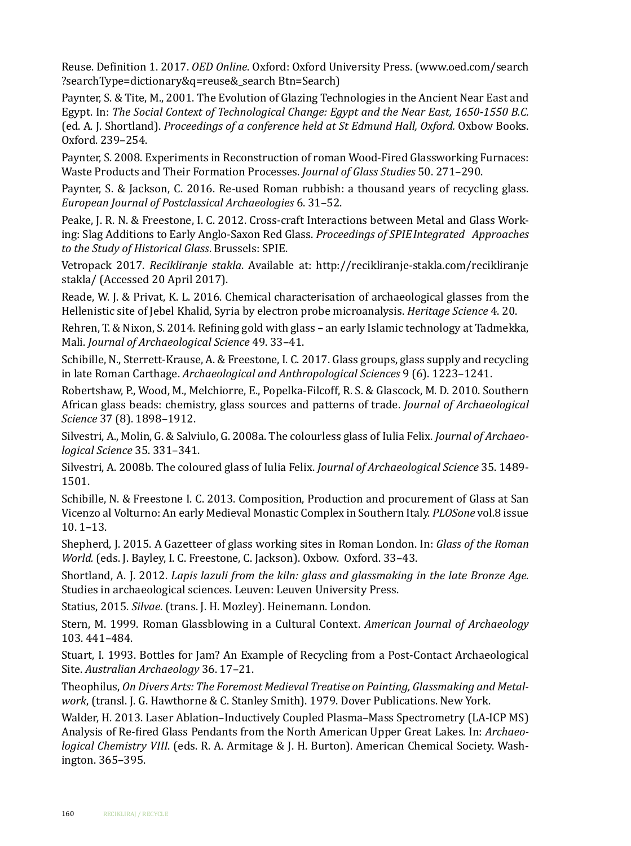Reuse. Definition 1. 2017. *OED Online*. Oxford: Oxford University Press. (www.oed.com/search ?searchType=dictionary&q=reuse&\_search Btn=Search)

Paynter, S. & Tite, M., 2001. The Evolution of Glazing Technologies in the Ancient Near East and Egypt. In: *The Social Context of Technological Change: Egypt and the Near East, 1650-1550 B.C.*  (ed. A. J. Shortland). *Proceedings of a conference held at St Edmund Hall, Oxford.* Oxbow Books. Oxford. 239–254.

Paynter, S. 2008. Experiments in Reconstruction of roman Wood-Fired Glassworking Furnaces: Waste Products and Their Formation Processes. *Journal of Glass Studies* 50. 271–290.

Paynter, S. & Jackson, C. 2016. Re-used Roman rubbish: a thousand years of recycling glass. *European Journal of Postclassical Archaeologies* 6. 31–52.

Peake, J. R. N. & Freestone, I. C. 2012. Cross-craft Interactions between Metal and Glass Working: Slag Additions to Early Anglo-Saxon Red Glass. *Proceedings of SPIEIntegrated Approaches to the Study of Historical Glass*. Brussels: SPIE.

Vetropack 2017. *Recikliranje stakla*. Available at: http://recikliranje-stakla.com/recikliranje stakla/ (Accessed 20 April 2017).

Reade, W. J. & Privat, K. L. 2016. Chemical characterisation of archaeological glasses from the Hellenistic site of Jebel Khalid, Syria by electron probe microanalysis. *Heritage Science* 4. 20.

Rehren, T. & Nixon, S. 2014. Refining gold with glass – an early Islamic technology at Tadmekka, Mali. *Journal of Archaeological Science* 49. 33–41.

Schibille, N., Sterrett-Krause, A. & Freestone, I. C. 2017. Glass groups, glass supply and recycling in late Roman Carthage. *Archaeological and Anthropological Sciences* 9 (6). 1223–1241.

Robertshaw, P., Wood, M., Melchiorre, E., Popelka-Filcoff, R. S. & Glascock, M. D. 2010. Southern African glass beads: chemistry, glass sources and patterns of trade. *Journal of Archaeological Science* 37 (8). 1898–1912.

Silvestri, A., Molin, G. & Salviulo, G. 2008a. The colourless glass of Iulia Felix. *Journal of Archaeological Science* 35. 331–341.

Silvestri, A. 2008b. The coloured glass of Iulia Felix. *Journal of Archaeological Science* 35. 1489- 1501.

Schibille, N. & Freestone I. C. 2013. Composition, Production and procurement of Glass at San Vicenzo al Volturno: An early Medieval Monastic Complex in Southern Italy. *PLOSone* vol.8 issue 10. 1–13.

Shepherd, J. 2015. A Gazetteer of glass working sites in Roman London. In: *Glass of the Roman World.* (eds. J. Bayley, I. C. Freestone, C. Jackson). Oxbow. Oxford. 33–43.

Shortland, A. J. 2012. *Lapis lazuli from the kiln: glass and glassmaking in the late Bronze Age.* Studies in archaeological sciences. Leuven: Leuven University Press.

Statius, 2015. *Silvae*. (trans. J. H. Mozley). Heinemann. London.

Stern, M. 1999. Roman Glassblowing in a Cultural Context. *American Journal of Archaeology*  103. 441–484.

Stuart, I. 1993. Bottles for Jam? An Example of Recycling from a Post-Contact Archaeological Site. *Australian Archaeology* 36. 17–21.

Theophilus, *On Divers Arts: The Foremost Medieval Treatise on Painting, Glassmaking and Metalwork*, (transl. J. G. Hawthorne & C. Stanley Smith). 1979. Dover Publications. New York.

Walder, H. 2013. Laser Ablation–Inductively Coupled Plasma–Mass Spectrometry (LA-ICP MS) Analysis of Re-fired Glass Pendants from the North American Upper Great Lakes. In: *Archaeological Chemistry VIII*. (eds. R. A. Armitage & J. H. Burton). American Chemical Society. Washington. 365–395.